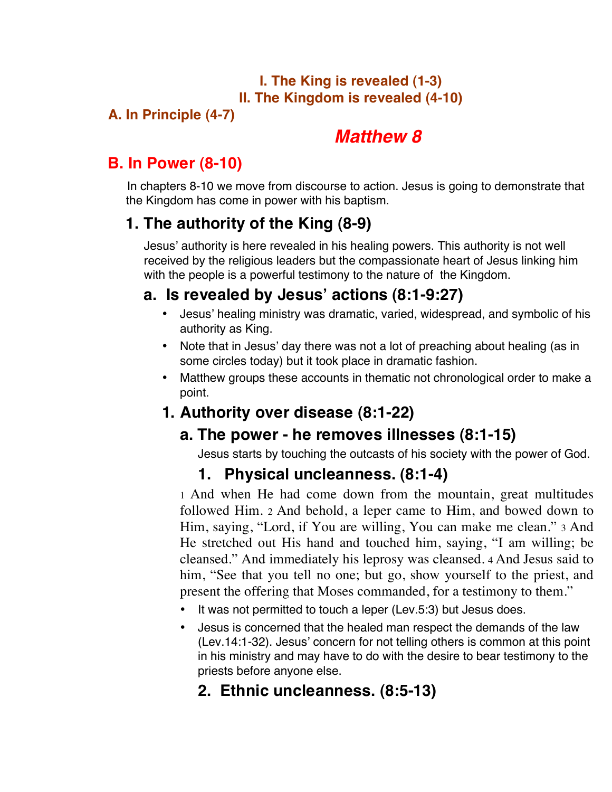#### **I. The King is revealed (1-3) II. The Kingdom is revealed (4-10)**

#### **A. In Principle (4-7)**

# *Matthew 8*

# **B. In Power (8-10)**

 In chapters 8-10 we move from discourse to action. Jesus is going to demonstrate that the Kingdom has come in power with his baptism.

# **1. The authority of the King (8-9)**

Jesus' authority is here revealed in his healing powers. This authority is not well received by the religious leaders but the compassionate heart of Jesus linking him with the people is a powerful testimony to the nature of the Kingdom.

# **a. Is revealed by Jesus' actions (8:1-9:27)**

- Jesus' healing ministry was dramatic, varied, widespread, and symbolic of his authority as King.
- Note that in Jesus' day there was not a lot of preaching about healing (as in some circles today) but it took place in dramatic fashion.
- Matthew groups these accounts in thematic not chronological order to make a point.

# **1. Authority over disease (8:1-22)**

# **a. The power - he removes illnesses (8:1-15)**

Jesus starts by touching the outcasts of his society with the power of God.

# **1. Physical uncleanness. (8:1-4)**

1 And when He had come down from the mountain, great multitudes followed Him. 2 And behold, a leper came to Him, and bowed down to Him, saying, "Lord, if You are willing, You can make me clean." 3 And He stretched out His hand and touched him, saying, "I am willing; be cleansed." And immediately his leprosy was cleansed. 4 And Jesus said to him, "See that you tell no one; but go, show yourself to the priest, and present the offering that Moses commanded, for a testimony to them."

- It was not permitted to touch a leper (Lev.5:3) but Jesus does.
- Jesus is concerned that the healed man respect the demands of the law (Lev.14:1-32). Jesus' concern for not telling others is common at this point in his ministry and may have to do with the desire to bear testimony to the priests before anyone else.

# **2. Ethnic uncleanness. (8:5-13)**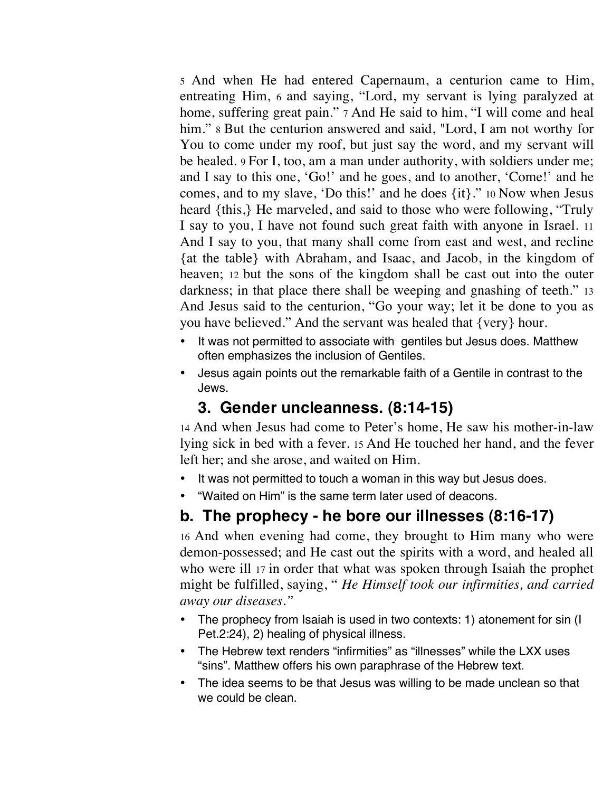5 And when He had entered Capernaum, a centurion came to Him, entreating Him, 6 and saying, "Lord, my servant is lying paralyzed at home, suffering great pain." 7 And He said to him, "I will come and heal him." 8 But the centurion answered and said, "Lord, I am not worthy for You to come under my roof, but just say the word, and my servant will be healed. 9 For I, too, am a man under authority, with soldiers under me; and I say to this one, 'Go!' and he goes, and to another, 'Come!' and he comes, and to my slave, 'Do this!' and he does {it}." 10 Now when Jesus heard {this,} He marveled, and said to those who were following, "Truly I say to you, I have not found such great faith with anyone in Israel. 11 And I say to you, that many shall come from east and west, and recline {at the table} with Abraham, and Isaac, and Jacob, in the kingdom of heaven; 12 but the sons of the kingdom shall be cast out into the outer darkness; in that place there shall be weeping and gnashing of teeth." 13 And Jesus said to the centurion, "Go your way; let it be done to you as you have believed." And the servant was healed that {very} hour.

- It was not permitted to associate with gentiles but Jesus does. Matthew often emphasizes the inclusion of Gentiles.
- Jesus again points out the remarkable faith of a Gentile in contrast to the Jews.

### **3. Gender uncleanness. (8:14-15)**

14 And when Jesus had come to Peter's home, He saw his mother-in-law lying sick in bed with a fever. 15 And He touched her hand, and the fever left her; and she arose, and waited on Him.

- It was not permitted to touch a woman in this way but Jesus does.
- "Waited on Him" is the same term later used of deacons.

# **b. The prophecy - he bore our illnesses (8:16-17)**

16 And when evening had come, they brought to Him many who were demon-possessed; and He cast out the spirits with a word, and healed all who were ill 17 in order that what was spoken through Isaiah the prophet might be fulfilled, saying, " *He Himself took our infirmities, and carried away our diseases."* 

- The prophecy from Isaiah is used in two contexts: 1) atonement for sin (I Pet.2:24), 2) healing of physical illness.
- The Hebrew text renders "infirmities" as "illnesses" while the LXX uses "sins". Matthew offers his own paraphrase of the Hebrew text.
- The idea seems to be that Jesus was willing to be made unclean so that we could be clean.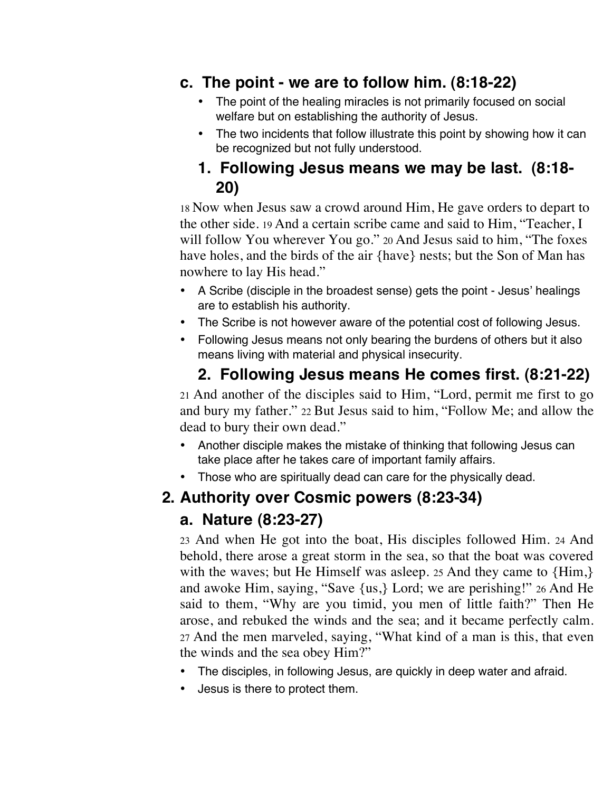#### **c. The point - we are to follow him. (8:18-22)**

- The point of the healing miracles is not primarily focused on social welfare but on establishing the authority of Jesus.
- The two incidents that follow illustrate this point by showing how it can be recognized but not fully understood.

### **1. Following Jesus means we may be last. (8:18- 20)**

18 Now when Jesus saw a crowd around Him, He gave orders to depart to the other side. 19 And a certain scribe came and said to Him, "Teacher, I will follow You wherever You go." 20 And Jesus said to him, "The foxes have holes, and the birds of the air {have} nests; but the Son of Man has nowhere to lay His head."

- A Scribe (disciple in the broadest sense) gets the point Jesus' healings are to establish his authority.
- The Scribe is not however aware of the potential cost of following Jesus.
- Following Jesus means not only bearing the burdens of others but it also means living with material and physical insecurity.

# **2. Following Jesus means He comes first. (8:21-22)**

21 And another of the disciples said to Him, "Lord, permit me first to go and bury my father." 22 But Jesus said to him, "Follow Me; and allow the dead to bury their own dead."

- Another disciple makes the mistake of thinking that following Jesus can take place after he takes care of important family affairs.
- Those who are spiritually dead can care for the physically dead.

# **2. Authority over Cosmic powers (8:23-34)**

# **a. Nature (8:23-27)**

23 And when He got into the boat, His disciples followed Him. 24 And behold, there arose a great storm in the sea, so that the boat was covered with the waves; but He Himself was asleep. 25 And they came to  ${Him}$ , and awoke Him, saying, "Save {us,} Lord; we are perishing!" 26 And He said to them, "Why are you timid, you men of little faith?" Then He arose, and rebuked the winds and the sea; and it became perfectly calm. 27 And the men marveled, saying, "What kind of a man is this, that even the winds and the sea obey Him?"

- The disciples, in following Jesus, are quickly in deep water and afraid.
- Jesus is there to protect them.